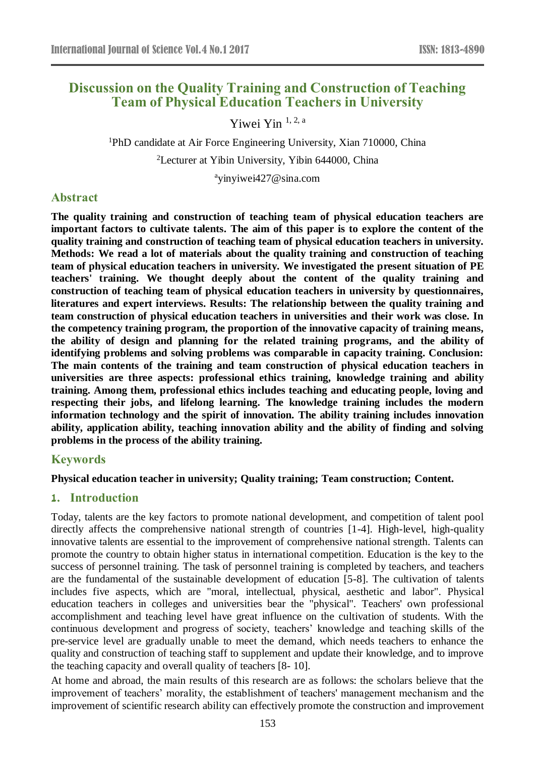# **Discussion on the Quality Training and Construction of Teaching Team of Physical Education Teachers in University**

Yiwei Yin 1, 2, a

<sup>1</sup>PhD candidate at Air Force Engineering University, Xian 710000, China <sup>2</sup>Lecturer at Yibin University, Yibin 644000, China

<sup>a</sup>yinyiwei427@sina.com

### **Abstract**

**The quality training and construction of teaching team of physical education teachers are important factors to cultivate talents. The aim of this paper is to explore the content of the quality training and construction of teaching team of physical education teachers in university. Methods: We read a lot of materials about the quality training and construction of teaching team of physical education teachers in university. We investigated the present situation of PE teachers' training. We thought deeply about the content of the quality training and construction of teaching team of physical education teachers in university by questionnaires, literatures and expert interviews. Results: The relationship between the quality training and team construction of physical education teachers in universities and their work was close. In the competency training program, the proportion of the innovative capacity of training means, the ability of design and planning for the related training programs, and the ability of identifying problems and solving problems was comparable in capacity training. Conclusion: The main contents of the training and team construction of physical education teachers in universities are three aspects: professional ethics training, knowledge training and ability training. Among them, professional ethics includes teaching and educating people, loving and respecting their jobs, and lifelong learning. The knowledge training includes the modern information technology and the spirit of innovation. The ability training includes innovation ability, application ability, teaching innovation ability and the ability of finding and solving problems in the process of the ability training.**

#### **Keywords**

#### **Physical education teacher in university; Quality training; Team construction; Content.**

#### **1. Introduction**

Today, talents are the key factors to promote national development, and competition of talent pool directly affects the comprehensive national strength of countries [1-4]. High-level, high-quality innovative talents are essential to the improvement of comprehensive national strength. Talents can promote the country to obtain higher status in international competition. Education is the key to the success of personnel training. The task of personnel training is completed by teachers, and teachers are the fundamental of the sustainable development of education [5-8]. The cultivation of talents includes five aspects, which are "moral, intellectual, physical, aesthetic and labor". Physical education teachers in colleges and universities bear the "physical". Teachers' own professional accomplishment and teaching level have great influence on the cultivation of students. With the continuous development and progress of society, teachers' knowledge and teaching skills of the pre-service level are gradually unable to meet the demand, which needs teachers to enhance the quality and construction of teaching staff to supplement and update their knowledge, and to improve the teaching capacity and overall quality of teachers [8- 10].

At home and abroad, the main results of this research are as follows: the scholars believe that the improvement of teachers' morality, the establishment of teachers' management mechanism and the improvement of scientific research ability can effectively promote the construction and improvement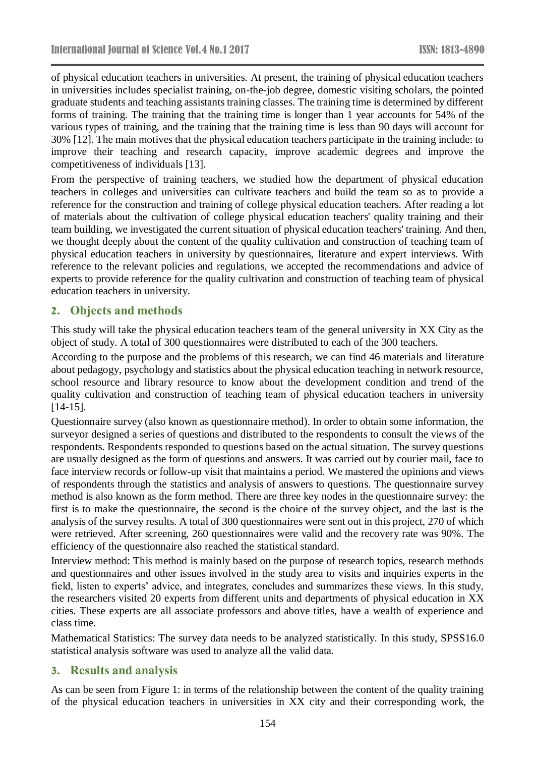of physical education teachers in universities. At present, the training of physical education teachers in universities includes specialist training, on-the-job degree, domestic visiting scholars, the pointed graduate students and teaching assistants training classes. The training time is determined by different forms of training. The training that the training time is longer than 1 year accounts for 54% of the various types of training, and the training that the training time is less than 90 days will account for 30% [12]. The main motives that the physical education teachers participate in the training include: to improve their teaching and research capacity, improve academic degrees and improve the competitiveness of individuals [13].

From the perspective of training teachers, we studied how the department of physical education teachers in colleges and universities can cultivate teachers and build the team so as to provide a reference for the construction and training of college physical education teachers. After reading a lot of materials about the cultivation of college physical education teachers' quality training and their team building, we investigated the current situation of physical education teachers' training. And then, we thought deeply about the content of the quality cultivation and construction of teaching team of physical education teachers in university by questionnaires, literature and expert interviews. With reference to the relevant policies and regulations, we accepted the recommendations and advice of experts to provide reference for the quality cultivation and construction of teaching team of physical education teachers in university.

#### **2. Objects and methods**

This study will take the physical education teachers team of the general university in XX City as the object of study. A total of 300 questionnaires were distributed to each of the 300 teachers.

According to the purpose and the problems of this research, we can find 46 materials and literature about pedagogy, psychology and statistics about the physical education teaching in network resource, school resource and library resource to know about the development condition and trend of the quality cultivation and construction of teaching team of physical education teachers in university [14-15].

Questionnaire survey (also known as questionnaire method). In order to obtain some information, the surveyor designed a series of questions and distributed to the respondents to consult the views of the respondents. Respondents responded to questions based on the actual situation. The survey questions are usually designed as the form of questions and answers. It was carried out by courier mail, face to face interview records or follow-up visit that maintains a period. We mastered the opinions and views of respondents through the statistics and analysis of answers to questions. The questionnaire survey method is also known as the form method. There are three key nodes in the questionnaire survey: the first is to make the questionnaire, the second is the choice of the survey object, and the last is the analysis of the survey results. A total of 300 questionnaires were sent out in this project, 270 of which were retrieved. After screening, 260 questionnaires were valid and the recovery rate was 90%. The efficiency of the questionnaire also reached the statistical standard.

Interview method: This method is mainly based on the purpose of research topics, research methods and questionnaires and other issues involved in the study area to visits and inquiries experts in the field, listen to experts' advice, and integrates, concludes and summarizes these views. In this study, the researchers visited 20 experts from different units and departments of physical education in XX cities. These experts are all associate professors and above titles, have a wealth of experience and class time.

Mathematical Statistics: The survey data needs to be analyzed statistically. In this study, SPSS16.0 statistical analysis software was used to analyze all the valid data.

#### **3. Results and analysis**

As can be seen from Figure 1: in terms of the relationship between the content of the quality training of the physical education teachers in universities in XX city and their corresponding work, the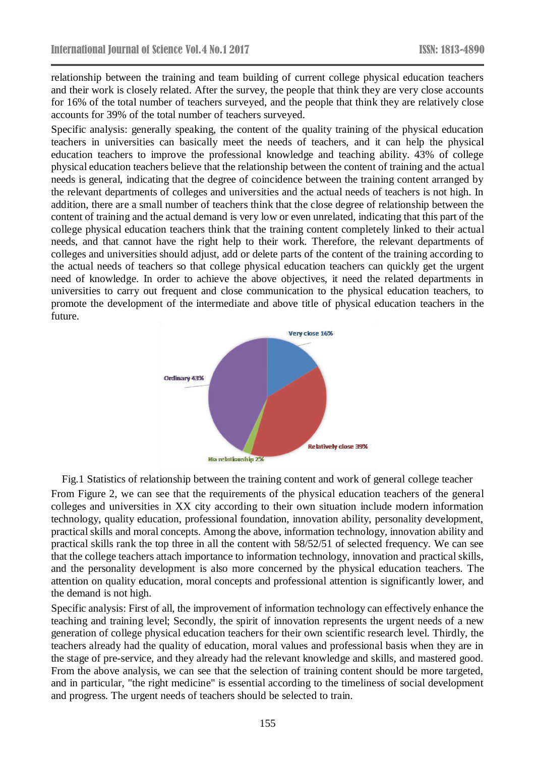relationship between the training and team building of current college physical education teachers and their work is closely related. After the survey, the people that think they are very close accounts for 16% of the total number of teachers surveyed, and the people that think they are relatively close accounts for 39% of the total number of teachers surveyed.

Specific analysis: generally speaking, the content of the quality training of the physical education teachers in universities can basically meet the needs of teachers, and it can help the physical education teachers to improve the professional knowledge and teaching ability. 43% of college physical education teachers believe that the relationship between the content of training and the actual needs is general, indicating that the degree of coincidence between the training content arranged by the relevant departments of colleges and universities and the actual needs of teachers is not high. In addition, there are a small number of teachers think that the close degree of relationship between the content of training and the actual demand is very low or even unrelated, indicating that this part of the college physical education teachers think that the training content completely linked to their actual needs, and that cannot have the right help to their work. Therefore, the relevant departments of colleges and universities should adjust, add or delete parts of the content of the training according to the actual needs of teachers so that college physical education teachers can quickly get the urgent need of knowledge. In order to achieve the above objectives, it need the related departments in universities to carry out frequent and close communication to the physical education teachers, to promote the development of the intermediate and above title of physical education teachers in the future.



Fig.1 Statistics of relationship between the training content and work of general college teacher From Figure 2, we can see that the requirements of the physical education teachers of the general colleges and universities in XX city according to their own situation include modern information technology, quality education, professional foundation, innovation ability, personality development, practical skills and moral concepts. Among the above, information technology, innovation ability and practical skills rank the top three in all the content with 58/52/51 of selected frequency. We can see that the college teachers attach importance to information technology, innovation and practical skills, and the personality development is also more concerned by the physical education teachers. The attention on quality education, moral concepts and professional attention is significantly lower, and the demand is not high.

Specific analysis: First of all, the improvement of information technology can effectively enhance the teaching and training level; Secondly, the spirit of innovation represents the urgent needs of a new generation of college physical education teachers for their own scientific research level. Thirdly, the teachers already had the quality of education, moral values and professional basis when they are in the stage of pre-service, and they already had the relevant knowledge and skills, and mastered good. From the above analysis, we can see that the selection of training content should be more targeted, and in particular, "the right medicine" is essential according to the timeliness of social development and progress. The urgent needs of teachers should be selected to train.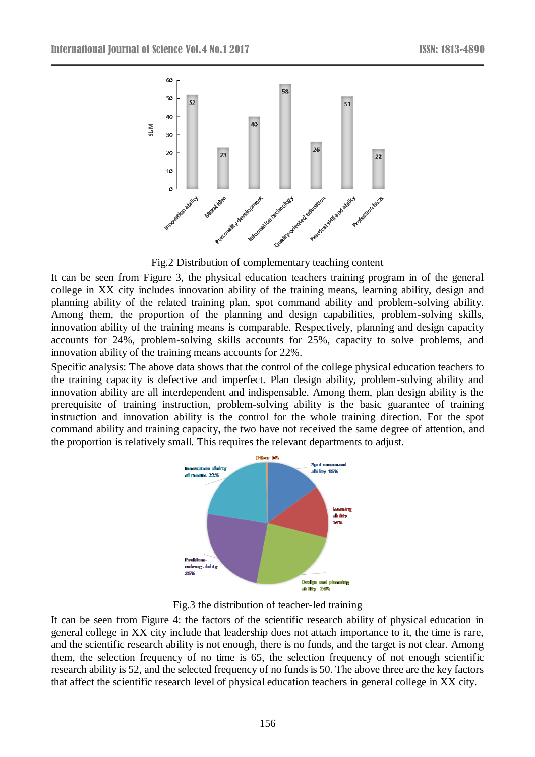

Fig.2 Distribution of complementary teaching content

It can be seen from Figure 3, the physical education teachers training program in of the general college in XX city includes innovation ability of the training means, learning ability, design and planning ability of the related training plan, spot command ability and problem-solving ability. Among them, the proportion of the planning and design capabilities, problem-solving skills, innovation ability of the training means is comparable. Respectively, planning and design capacity accounts for 24%, problem-solving skills accounts for 25%, capacity to solve problems, and innovation ability of the training means accounts for 22%.

Specific analysis: The above data shows that the control of the college physical education teachers to the training capacity is defective and imperfect. Plan design ability, problem-solving ability and innovation ability are all interdependent and indispensable. Among them, plan design ability is the prerequisite of training instruction, problem-solving ability is the basic guarantee of training instruction and innovation ability is the control for the whole training direction. For the spot command ability and training capacity, the two have not received the same degree of attention, and the proportion is relatively small. This requires the relevant departments to adjust.





It can be seen from Figure 4: the factors of the scientific research ability of physical education in general college in XX city include that leadership does not attach importance to it, the time is rare, and the scientific research ability is not enough, there is no funds, and the target is not clear. Among them, the selection frequency of no time is 65, the selection frequency of not enough scientific research ability is 52, and the selected frequency of no funds is 50. The above three are the key factors that affect the scientific research level of physical education teachers in general college in XX city.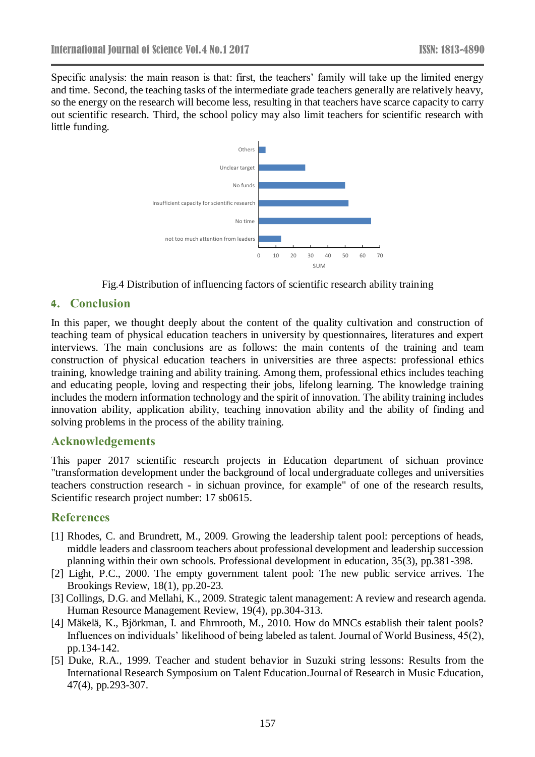Specific analysis: the main reason is that: first, the teachers' family will take up the limited energy and time. Second, the teaching tasks of the intermediate grade teachers generally are relatively heavy, so the energy on the research will become less, resulting in that teachers have scarce capacity to carry out scientific research. Third, the school policy may also limit teachers for scientific research with little funding.



Fig.4 Distribution of influencing factors of scientific research ability training

#### **4. Conclusion**

In this paper, we thought deeply about the content of the quality cultivation and construction of teaching team of physical education teachers in university by questionnaires, literatures and expert interviews. The main conclusions are as follows: the main contents of the training and team construction of physical education teachers in universities are three aspects: professional ethics training, knowledge training and ability training. Among them, professional ethics includes teaching and educating people, loving and respecting their jobs, lifelong learning. The knowledge training includes the modern information technology and the spirit of innovation. The ability training includes innovation ability, application ability, teaching innovation ability and the ability of finding and solving problems in the process of the ability training.

#### **Acknowledgements**

This paper 2017 scientific research projects in Education department of sichuan province "transformation development under the background of local undergraduate colleges and universities teachers construction research - in sichuan province, for example" of one of the research results, Scientific research project number: 17 sb0615.

## **References**

- [1] Rhodes, C. and Brundrett, M., 2009. Growing the leadership talent pool: perceptions of heads, middle leaders and classroom teachers about professional development and leadership succession planning within their own schools. Professional development in education, 35(3), pp.381-398.
- [2] Light, P.C., 2000. The empty government talent pool: The new public service arrives. The Brookings Review, 18(1), pp.20-23.
- [3] Collings, D.G. and Mellahi, K., 2009. Strategic talent management: A review and research agenda. Human Resource Management Review, 19(4), pp.304-313.
- [4] M äkelä, K., Björkman, I. and Ehrnrooth, M., 2010. How do MNCs establish their talent pools? Influences on individuals' likelihood of being labeled as talent. Journal of World Business, 45(2), pp.134-142.
- [5] Duke, R.A., 1999. Teacher and student behavior in Suzuki string lessons: Results from the International Research Symposium on Talent Education.Journal of Research in Music Education, 47(4), pp.293-307.